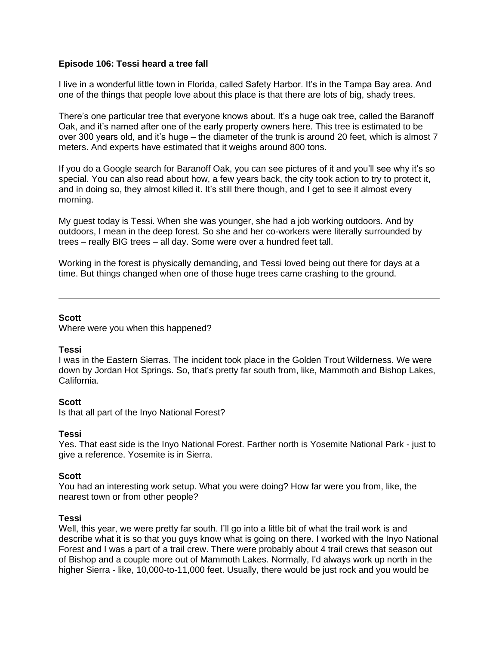### **Episode 106: Tessi heard a tree fall**

I live in a wonderful little town in Florida, called Safety Harbor. It's in the Tampa Bay area. And one of the things that people love about this place is that there are lots of big, shady trees.

There's one particular tree that everyone knows about. It's a huge oak tree, called the Baranoff Oak, and it's named after one of the early property owners here. This tree is estimated to be over 300 years old, and it's huge – the diameter of the trunk is around 20 feet, which is almost 7 meters. And experts have estimated that it weighs around 800 tons.

If you do a Google search for Baranoff Oak, you can see pictures of it and you'll see why it's so special. You can also read about how, a few years back, the city took action to try to protect it, and in doing so, they almost killed it. It's still there though, and I get to see it almost every morning.

My guest today is Tessi. When she was younger, she had a job working outdoors. And by outdoors, I mean in the deep forest. So she and her co-workers were literally surrounded by trees – really BIG trees – all day. Some were over a hundred feet tall.

Working in the forest is physically demanding, and Tessi loved being out there for days at a time. But things changed when one of those huge trees came crashing to the ground.

### **Scott**

Where were you when this happened?

### **Tessi**

I was in the Eastern Sierras. The incident took place in the Golden Trout Wilderness. We were down by Jordan Hot Springs. So, that's pretty far south from, like, Mammoth and Bishop Lakes, California.

### **Scott**

Is that all part of the Inyo National Forest?

### **Tessi**

Yes. That east side is the Inyo National Forest. Farther north is Yosemite National Park - just to give a reference. Yosemite is in Sierra.

### **Scott**

You had an interesting work setup. What you were doing? How far were you from, like, the nearest town or from other people?

#### **Tessi**

Well, this year, we were pretty far south. I'll go into a little bit of what the trail work is and describe what it is so that you guys know what is going on there. I worked with the Inyo National Forest and I was a part of a trail crew. There were probably about 4 trail crews that season out of Bishop and a couple more out of Mammoth Lakes. Normally, I'd always work up north in the higher Sierra - like, 10,000-to-11,000 feet. Usually, there would be just rock and you would be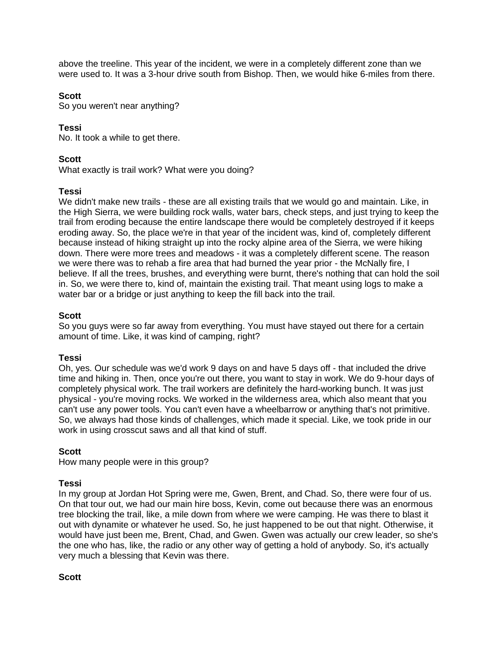above the treeline. This year of the incident, we were in a completely different zone than we were used to. It was a 3-hour drive south from Bishop. Then, we would hike 6-miles from there.

### **Scott**

So you weren't near anything?

## **Tessi**

No. It took a while to get there.

## **Scott**

What exactly is trail work? What were you doing?

### **Tessi**

We didn't make new trails - these are all existing trails that we would go and maintain. Like, in the High Sierra, we were building rock walls, water bars, check steps, and just trying to keep the trail from eroding because the entire landscape there would be completely destroyed if it keeps eroding away. So, the place we're in that year of the incident was, kind of, completely different because instead of hiking straight up into the rocky alpine area of the Sierra, we were hiking down. There were more trees and meadows - it was a completely different scene. The reason we were there was to rehab a fire area that had burned the year prior - the McNally fire, I believe. If all the trees, brushes, and everything were burnt, there's nothing that can hold the soil in. So, we were there to, kind of, maintain the existing trail. That meant using logs to make a water bar or a bridge or just anything to keep the fill back into the trail.

### **Scott**

So you guys were so far away from everything. You must have stayed out there for a certain amount of time. Like, it was kind of camping, right?

### **Tessi**

Oh, yes. Our schedule was we'd work 9 days on and have 5 days off - that included the drive time and hiking in. Then, once you're out there, you want to stay in work. We do 9-hour days of completely physical work. The trail workers are definitely the hard-working bunch. It was just physical - you're moving rocks. We worked in the wilderness area, which also meant that you can't use any power tools. You can't even have a wheelbarrow or anything that's not primitive. So, we always had those kinds of challenges, which made it special. Like, we took pride in our work in using crosscut saws and all that kind of stuff.

### **Scott**

How many people were in this group?

### **Tessi**

In my group at Jordan Hot Spring were me, Gwen, Brent, and Chad. So, there were four of us. On that tour out, we had our main hire boss, Kevin, come out because there was an enormous tree blocking the trail, like, a mile down from where we were camping. He was there to blast it out with dynamite or whatever he used. So, he just happened to be out that night. Otherwise, it would have just been me, Brent, Chad, and Gwen. Gwen was actually our crew leader, so she's the one who has, like, the radio or any other way of getting a hold of anybody. So, it's actually very much a blessing that Kevin was there.

### **Scott**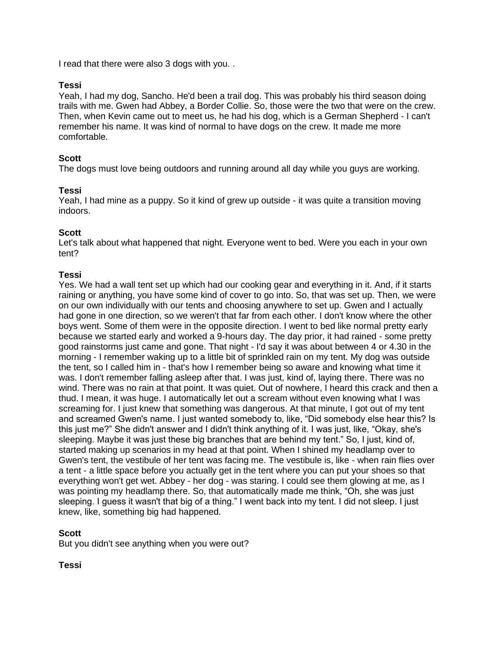I read that there were also 3 dogs with you. .

## **Tessi**

Yeah, I had my dog, Sancho. He'd been a trail dog. This was probably his third season doing trails with me. Gwen had Abbey, a Border Collie. So, those were the two that were on the crew. Then, when Kevin came out to meet us, he had his dog, which is a German Shepherd - I can't remember his name. It was kind of normal to have dogs on the crew. It made me more comfortable.

## **Scott**

The dogs must love being outdoors and running around all day while you guys are working.

## **Tessi**

Yeah, I had mine as a puppy. So it kind of grew up outside - it was quite a transition moving indoors.

## **Scott**

Let's talk about what happened that night. Everyone went to bed. Were you each in your own tent?

## **Tessi**

Yes. We had a wall tent set up which had our cooking gear and everything in it. And, if it starts raining or anything, you have some kind of cover to go into. So, that was set up. Then, we were on our own individually with our tents and choosing anywhere to set up. Gwen and I actually had gone in one direction, so we weren't that far from each other. I don't know where the other boys went. Some of them were in the opposite direction. I went to bed like normal pretty early because we started early and worked a 9-hours day. The day prior, it had rained - some pretty good rainstorms just came and gone. That night - I'd say it was about between 4 or 4.30 in the morning - I remember waking up to a little bit of sprinkled rain on my tent. My dog was outside the tent, so I called him in - that's how I remember being so aware and knowing what time it was. I don't remember falling asleep after that. I was just, kind of, laying there. There was no wind. There was no rain at that point. It was quiet. Out of nowhere, I heard this crack and then a thud. I mean, it was huge. I automatically let out a scream without even knowing what I was screaming for. I just knew that something was dangerous. At that minute, I got out of my tent and screamed Gwen's name. I just wanted somebody to, like, "Did somebody else hear this? Is this just me?" She didn't answer and I didn't think anything of it. I was just, like, "Okay, she's sleeping. Maybe it was just these big branches that are behind my tent." So, I just, kind of, started making up scenarios in my head at that point. When I shined my headlamp over to Gwen's tent, the vestibule of her tent was facing me. The vestibule is, like - when rain flies over a tent - a little space before you actually get in the tent where you can put your shoes so that everything won't get wet. Abbey - her dog - was staring. I could see them glowing at me, as I was pointing my headlamp there. So, that automatically made me think, "Oh, she was just sleeping. I guess it wasn't that big of a thing." I went back into my tent. I did not sleep. I just knew, like, something big had happened.

# **Scott**

But you didn't see anything when you were out?

# **Tessi**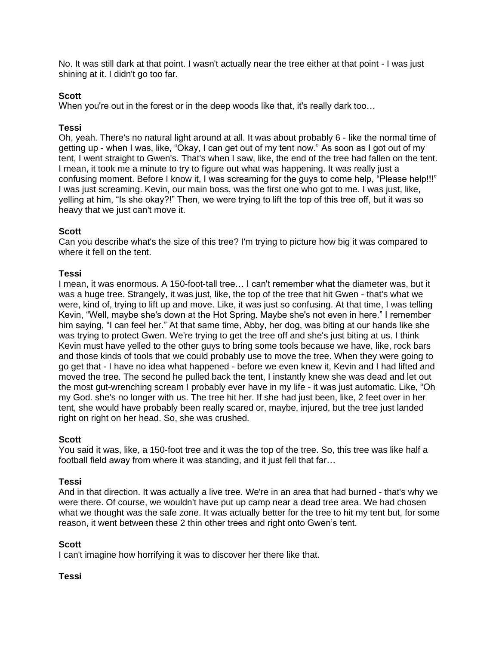No. It was still dark at that point. I wasn't actually near the tree either at that point - I was just shining at it. I didn't go too far.

# **Scott**

When you're out in the forest or in the deep woods like that, it's really dark too...

## **Tessi**

Oh, yeah. There's no natural light around at all. It was about probably 6 - like the normal time of getting up - when I was, like, "Okay, I can get out of my tent now." As soon as I got out of my tent, I went straight to Gwen's. That's when I saw, like, the end of the tree had fallen on the tent. I mean, it took me a minute to try to figure out what was happening. It was really just a confusing moment. Before I know it, I was screaming for the guys to come help, "Please help!!!" I was just screaming. Kevin, our main boss, was the first one who got to me. I was just, like, yelling at him, "Is she okay?!" Then, we were trying to lift the top of this tree off, but it was so heavy that we just can't move it.

## **Scott**

Can you describe what's the size of this tree? I'm trying to picture how big it was compared to where it fell on the tent.

### **Tessi**

I mean, it was enormous. A 150-foot-tall tree… I can't remember what the diameter was, but it was a huge tree. Strangely, it was just, like, the top of the tree that hit Gwen - that's what we were, kind of, trying to lift up and move. Like, it was just so confusing. At that time, I was telling Kevin, "Well, maybe she's down at the Hot Spring. Maybe she's not even in here." I remember him saying, "I can feel her." At that same time, Abby, her dog, was biting at our hands like she was trying to protect Gwen. We're trying to get the tree off and she's just biting at us. I think Kevin must have yelled to the other guys to bring some tools because we have, like, rock bars and those kinds of tools that we could probably use to move the tree. When they were going to go get that - I have no idea what happened - before we even knew it, Kevin and I had lifted and moved the tree. The second he pulled back the tent, I instantly knew she was dead and let out the most gut-wrenching scream I probably ever have in my life - it was just automatic. Like, "Oh my God. she's no longer with us. The tree hit her. If she had just been, like, 2 feet over in her tent, she would have probably been really scared or, maybe, injured, but the tree just landed right on right on her head. So, she was crushed.

### **Scott**

You said it was, like, a 150-foot tree and it was the top of the tree. So, this tree was like half a football field away from where it was standing, and it just fell that far…

### **Tessi**

And in that direction. It was actually a live tree. We're in an area that had burned - that's why we were there. Of course, we wouldn't have put up camp near a dead tree area. We had chosen what we thought was the safe zone. It was actually better for the tree to hit my tent but, for some reason, it went between these 2 thin other trees and right onto Gwen's tent.

### **Scott**

I can't imagine how horrifying it was to discover her there like that.

### **Tessi**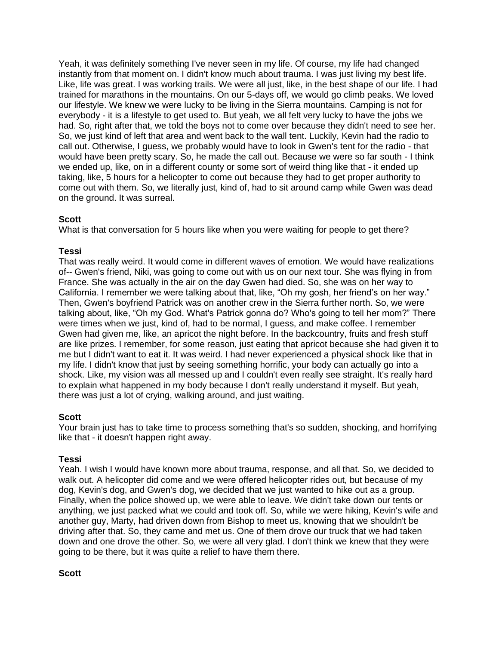Yeah, it was definitely something I've never seen in my life. Of course, my life had changed instantly from that moment on. I didn't know much about trauma. I was just living my best life. Like, life was great. I was working trails. We were all just, like, in the best shape of our life. I had trained for marathons in the mountains. On our 5-days off, we would go climb peaks. We loved our lifestyle. We knew we were lucky to be living in the Sierra mountains. Camping is not for everybody - it is a lifestyle to get used to. But yeah, we all felt very lucky to have the jobs we had. So, right after that, we told the boys not to come over because they didn't need to see her. So, we just kind of left that area and went back to the wall tent. Luckily, Kevin had the radio to call out. Otherwise, I guess, we probably would have to look in Gwen's tent for the radio - that would have been pretty scary. So, he made the call out. Because we were so far south - I think we ended up, like, on in a different county or some sort of weird thing like that - it ended up taking, like, 5 hours for a helicopter to come out because they had to get proper authority to come out with them. So, we literally just, kind of, had to sit around camp while Gwen was dead on the ground. It was surreal.

# **Scott**

What is that conversation for 5 hours like when you were waiting for people to get there?

## **Tessi**

That was really weird. It would come in different waves of emotion. We would have realizations of-- Gwen's friend, Niki, was going to come out with us on our next tour. She was flying in from France. She was actually in the air on the day Gwen had died. So, she was on her way to California. I remember we were talking about that, like, "Oh my gosh, her friend's on her way." Then, Gwen's boyfriend Patrick was on another crew in the Sierra further north. So, we were talking about, like, "Oh my God. What's Patrick gonna do? Who's going to tell her mom?" There were times when we just, kind of, had to be normal, I guess, and make coffee. I remember Gwen had given me, like, an apricot the night before. In the backcountry, fruits and fresh stuff are like prizes. I remember, for some reason, just eating that apricot because she had given it to me but I didn't want to eat it. It was weird. I had never experienced a physical shock like that in my life. I didn't know that just by seeing something horrific, your body can actually go into a shock. Like, my vision was all messed up and I couldn't even really see straight. It's really hard to explain what happened in my body because I don't really understand it myself. But yeah, there was just a lot of crying, walking around, and just waiting.

# **Scott**

Your brain just has to take time to process something that's so sudden, shocking, and horrifying like that - it doesn't happen right away.

### **Tessi**

Yeah. I wish I would have known more about trauma, response, and all that. So, we decided to walk out. A helicopter did come and we were offered helicopter rides out, but because of my dog, Kevin's dog, and Gwen's dog, we decided that we just wanted to hike out as a group. Finally, when the police showed up, we were able to leave. We didn't take down our tents or anything, we just packed what we could and took off. So, while we were hiking, Kevin's wife and another guy, Marty, had driven down from Bishop to meet us, knowing that we shouldn't be driving after that. So, they came and met us. One of them drove our truck that we had taken down and one drove the other. So, we were all very glad. I don't think we knew that they were going to be there, but it was quite a relief to have them there.

### **Scott**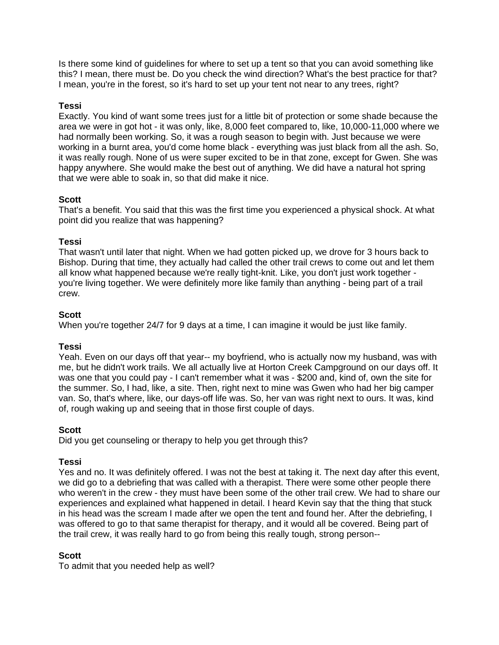Is there some kind of guidelines for where to set up a tent so that you can avoid something like this? I mean, there must be. Do you check the wind direction? What's the best practice for that? I mean, you're in the forest, so it's hard to set up your tent not near to any trees, right?

# **Tessi**

Exactly. You kind of want some trees just for a little bit of protection or some shade because the area we were in got hot - it was only, like, 8,000 feet compared to, like, 10,000-11,000 where we had normally been working. So, it was a rough season to begin with. Just because we were working in a burnt area, you'd come home black - everything was just black from all the ash. So, it was really rough. None of us were super excited to be in that zone, except for Gwen. She was happy anywhere. She would make the best out of anything. We did have a natural hot spring that we were able to soak in, so that did make it nice.

# **Scott**

That's a benefit. You said that this was the first time you experienced a physical shock. At what point did you realize that was happening?

# **Tessi**

That wasn't until later that night. When we had gotten picked up, we drove for 3 hours back to Bishop. During that time, they actually had called the other trail crews to come out and let them all know what happened because we're really tight-knit. Like, you don't just work together you're living together. We were definitely more like family than anything - being part of a trail crew.

# **Scott**

When you're together 24/7 for 9 days at a time, I can imagine it would be just like family.

# **Tessi**

Yeah. Even on our days off that year-- my boyfriend, who is actually now my husband, was with me, but he didn't work trails. We all actually live at Horton Creek Campground on our days off. It was one that you could pay - I can't remember what it was - \$200 and, kind of, own the site for the summer. So, I had, like, a site. Then, right next to mine was Gwen who had her big camper van. So, that's where, like, our days-off life was. So, her van was right next to ours. It was, kind of, rough waking up and seeing that in those first couple of days.

# **Scott**

Did you get counseling or therapy to help you get through this?

# **Tessi**

Yes and no. It was definitely offered. I was not the best at taking it. The next day after this event, we did go to a debriefing that was called with a therapist. There were some other people there who weren't in the crew - they must have been some of the other trail crew. We had to share our experiences and explained what happened in detail. I heard Kevin say that the thing that stuck in his head was the scream I made after we open the tent and found her. After the debriefing, I was offered to go to that same therapist for therapy, and it would all be covered. Being part of the trail crew, it was really hard to go from being this really tough, strong person--

# **Scott**

To admit that you needed help as well?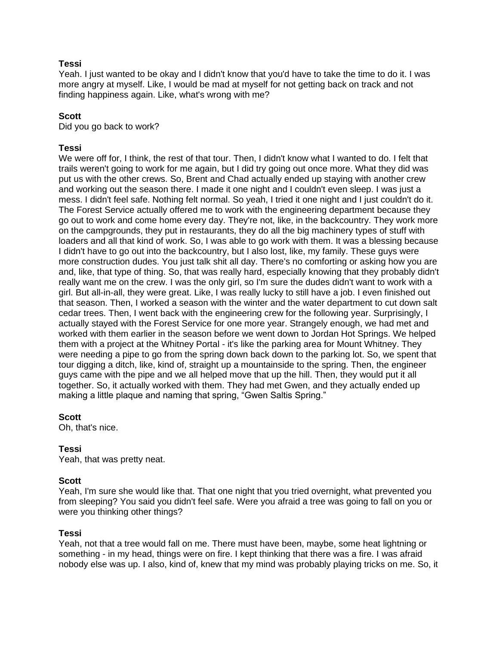## **Tessi**

Yeah. I just wanted to be okay and I didn't know that you'd have to take the time to do it. I was more angry at myself. Like, I would be mad at myself for not getting back on track and not finding happiness again. Like, what's wrong with me?

## **Scott**

Did you go back to work?

# **Tessi**

We were off for, I think, the rest of that tour. Then, I didn't know what I wanted to do. I felt that trails weren't going to work for me again, but I did try going out once more. What they did was put us with the other crews. So, Brent and Chad actually ended up staying with another crew and working out the season there. I made it one night and I couldn't even sleep. I was just a mess. I didn't feel safe. Nothing felt normal. So yeah, I tried it one night and I just couldn't do it. The Forest Service actually offered me to work with the engineering department because they go out to work and come home every day. They're not, like, in the backcountry. They work more on the campgrounds, they put in restaurants, they do all the big machinery types of stuff with loaders and all that kind of work. So, I was able to go work with them. It was a blessing because I didn't have to go out into the backcountry, but I also lost, like, my family. These guys were more construction dudes. You just talk shit all day. There's no comforting or asking how you are and, like, that type of thing. So, that was really hard, especially knowing that they probably didn't really want me on the crew. I was the only girl, so I'm sure the dudes didn't want to work with a girl. But all-in-all, they were great. Like, I was really lucky to still have a job. I even finished out that season. Then, I worked a season with the winter and the water department to cut down salt cedar trees. Then, I went back with the engineering crew for the following year. Surprisingly, I actually stayed with the Forest Service for one more year. Strangely enough, we had met and worked with them earlier in the season before we went down to Jordan Hot Springs. We helped them with a project at the Whitney Portal - it's like the parking area for Mount Whitney. They were needing a pipe to go from the spring down back down to the parking lot. So, we spent that tour digging a ditch, like, kind of, straight up a mountainside to the spring. Then, the engineer guys came with the pipe and we all helped move that up the hill. Then, they would put it all together. So, it actually worked with them. They had met Gwen, and they actually ended up making a little plaque and naming that spring, "Gwen Saltis Spring."

### **Scott**

Oh, that's nice.

# **Tessi**

Yeah, that was pretty neat.

### **Scott**

Yeah, I'm sure she would like that. That one night that you tried overnight, what prevented you from sleeping? You said you didn't feel safe. Were you afraid a tree was going to fall on you or were you thinking other things?

### **Tessi**

Yeah, not that a tree would fall on me. There must have been, maybe, some heat lightning or something - in my head, things were on fire. I kept thinking that there was a fire. I was afraid nobody else was up. I also, kind of, knew that my mind was probably playing tricks on me. So, it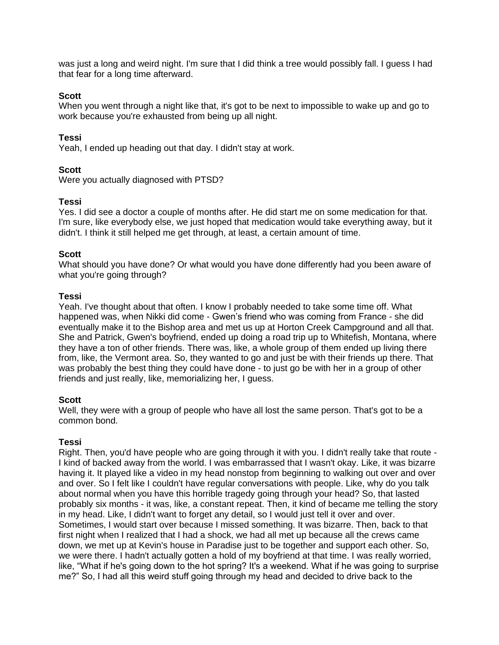was just a long and weird night. I'm sure that I did think a tree would possibly fall. I guess I had that fear for a long time afterward.

## **Scott**

When you went through a night like that, it's got to be next to impossible to wake up and go to work because you're exhausted from being up all night.

## **Tessi**

Yeah, I ended up heading out that day. I didn't stay at work.

# **Scott**

Were you actually diagnosed with PTSD?

## **Tessi**

Yes. I did see a doctor a couple of months after. He did start me on some medication for that. I'm sure, like everybody else, we just hoped that medication would take everything away, but it didn't. I think it still helped me get through, at least, a certain amount of time.

## **Scott**

What should you have done? Or what would you have done differently had you been aware of what you're going through?

## **Tessi**

Yeah. I've thought about that often. I know I probably needed to take some time off. What happened was, when Nikki did come - Gwen's friend who was coming from France - she did eventually make it to the Bishop area and met us up at Horton Creek Campground and all that. She and Patrick, Gwen's boyfriend, ended up doing a road trip up to Whitefish, Montana, where they have a ton of other friends. There was, like, a whole group of them ended up living there from, like, the Vermont area. So, they wanted to go and just be with their friends up there. That was probably the best thing they could have done - to just go be with her in a group of other friends and just really, like, memorializing her, I guess.

### **Scott**

Well, they were with a group of people who have all lost the same person. That's got to be a common bond.

# **Tessi**

Right. Then, you'd have people who are going through it with you. I didn't really take that route - I kind of backed away from the world. I was embarrassed that I wasn't okay. Like, it was bizarre having it. It played like a video in my head nonstop from beginning to walking out over and over and over. So I felt like I couldn't have regular conversations with people. Like, why do you talk about normal when you have this horrible tragedy going through your head? So, that lasted probably six months - it was, like, a constant repeat. Then, it kind of became me telling the story in my head. Like, I didn't want to forget any detail, so I would just tell it over and over. Sometimes, I would start over because I missed something. It was bizarre. Then, back to that first night when I realized that I had a shock, we had all met up because all the crews came down, we met up at Kevin's house in Paradise just to be together and support each other. So, we were there. I hadn't actually gotten a hold of my boyfriend at that time. I was really worried, like, "What if he's going down to the hot spring? It's a weekend. What if he was going to surprise me?" So, I had all this weird stuff going through my head and decided to drive back to the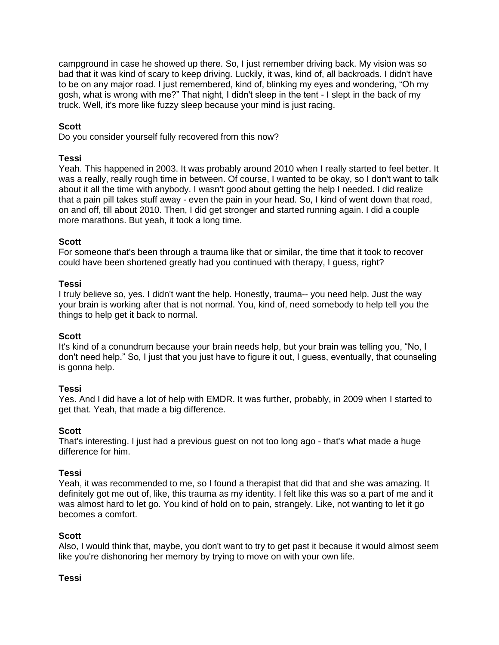campground in case he showed up there. So, I just remember driving back. My vision was so bad that it was kind of scary to keep driving. Luckily, it was, kind of, all backroads. I didn't have to be on any major road. I just remembered, kind of, blinking my eyes and wondering, "Oh my gosh, what is wrong with me?" That night, I didn't sleep in the tent - I slept in the back of my truck. Well, it's more like fuzzy sleep because your mind is just racing.

# **Scott**

Do you consider yourself fully recovered from this now?

### **Tessi**

Yeah. This happened in 2003. It was probably around 2010 when I really started to feel better. It was a really, really rough time in between. Of course, I wanted to be okay, so I don't want to talk about it all the time with anybody. I wasn't good about getting the help I needed. I did realize that a pain pill takes stuff away - even the pain in your head. So, I kind of went down that road, on and off, till about 2010. Then, I did get stronger and started running again. I did a couple more marathons. But yeah, it took a long time.

## **Scott**

For someone that's been through a trauma like that or similar, the time that it took to recover could have been shortened greatly had you continued with therapy, I guess, right?

### **Tessi**

I truly believe so, yes. I didn't want the help. Honestly, trauma-- you need help. Just the way your brain is working after that is not normal. You, kind of, need somebody to help tell you the things to help get it back to normal.

### **Scott**

It's kind of a conundrum because your brain needs help, but your brain was telling you, "No, I don't need help." So, I just that you just have to figure it out, I guess, eventually, that counseling is gonna help.

### **Tessi**

Yes. And I did have a lot of help with EMDR. It was further, probably, in 2009 when I started to get that. Yeah, that made a big difference.

### **Scott**

That's interesting. I just had a previous guest on not too long ago - that's what made a huge difference for him.

### **Tessi**

Yeah, it was recommended to me, so I found a therapist that did that and she was amazing. It definitely got me out of, like, this trauma as my identity. I felt like this was so a part of me and it was almost hard to let go. You kind of hold on to pain, strangely. Like, not wanting to let it go becomes a comfort.

### **Scott**

Also, I would think that, maybe, you don't want to try to get past it because it would almost seem like you're dishonoring her memory by trying to move on with your own life.

### **Tessi**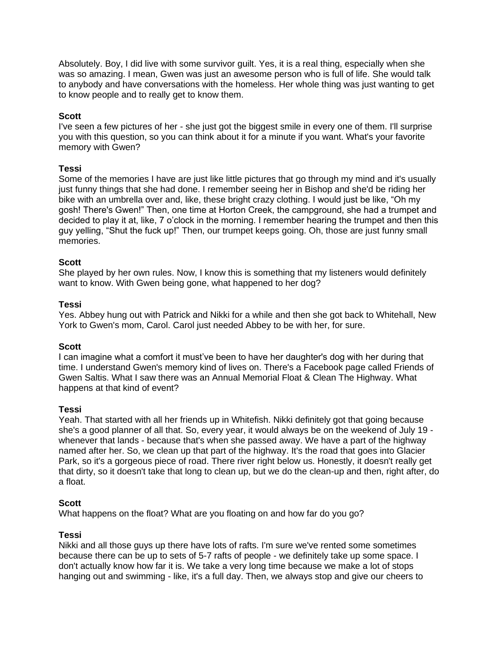Absolutely. Boy, I did live with some survivor guilt. Yes, it is a real thing, especially when she was so amazing. I mean, Gwen was just an awesome person who is full of life. She would talk to anybody and have conversations with the homeless. Her whole thing was just wanting to get to know people and to really get to know them.

## **Scott**

I've seen a few pictures of her - she just got the biggest smile in every one of them. I'll surprise you with this question, so you can think about it for a minute if you want. What's your favorite memory with Gwen?

## **Tessi**

Some of the memories I have are just like little pictures that go through my mind and it's usually just funny things that she had done. I remember seeing her in Bishop and she'd be riding her bike with an umbrella over and, like, these bright crazy clothing. I would just be like, "Oh my gosh! There's Gwen!" Then, one time at Horton Creek, the campground, she had a trumpet and decided to play it at, like, 7 o'clock in the morning. I remember hearing the trumpet and then this guy yelling, "Shut the fuck up!" Then, our trumpet keeps going. Oh, those are just funny small memories.

### **Scott**

She played by her own rules. Now, I know this is something that my listeners would definitely want to know. With Gwen being gone, what happened to her dog?

#### **Tessi**

Yes. Abbey hung out with Patrick and Nikki for a while and then she got back to Whitehall, New York to Gwen's mom, Carol. Carol just needed Abbey to be with her, for sure.

#### **Scott**

I can imagine what a comfort it must've been to have her daughter's dog with her during that time. I understand Gwen's memory kind of lives on. There's a Facebook page called Friends of Gwen Saltis. What I saw there was an Annual Memorial Float & Clean The Highway. What happens at that kind of event?

#### **Tessi**

Yeah. That started with all her friends up in Whitefish. Nikki definitely got that going because she's a good planner of all that. So, every year, it would always be on the weekend of July 19 whenever that lands - because that's when she passed away. We have a part of the highway named after her. So, we clean up that part of the highway. It's the road that goes into Glacier Park, so it's a gorgeous piece of road. There river right below us. Honestly, it doesn't really get that dirty, so it doesn't take that long to clean up, but we do the clean-up and then, right after, do a float.

### **Scott**

What happens on the float? What are you floating on and how far do you go?

### **Tessi**

Nikki and all those guys up there have lots of rafts. I'm sure we've rented some sometimes because there can be up to sets of 5-7 rafts of people - we definitely take up some space. I don't actually know how far it is. We take a very long time because we make a lot of stops hanging out and swimming - like, it's a full day. Then, we always stop and give our cheers to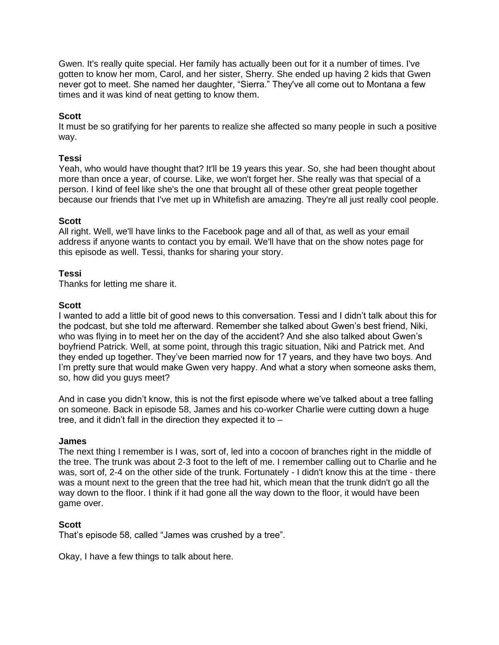Gwen. It's really quite special. Her family has actually been out for it a number of times. I've gotten to know her mom, Carol, and her sister, Sherry. She ended up having 2 kids that Gwen never got to meet. She named her daughter, "Sierra." They've all come out to Montana a few times and it was kind of neat getting to know them.

## **Scott**

It must be so gratifying for her parents to realize she affected so many people in such a positive way.

### **Tessi**

Yeah, who would have thought that? It'll be 19 years this year. So, she had been thought about more than once a year, of course. Like, we won't forget her. She really was that special of a person. I kind of feel like she's the one that brought all of these other great people together because our friends that I've met up in Whitefish are amazing. They're all just really cool people.

### **Scott**

All right. Well, we'll have links to the Facebook page and all of that, as well as your email address if anyone wants to contact you by email. We'll have that on the show notes page for this episode as well. Tessi, thanks for sharing your story.

## **Tessi**

Thanks for letting me share it.

### **Scott**

I wanted to add a little bit of good news to this conversation. Tessi and I didn't talk about this for the podcast, but she told me afterward. Remember she talked about Gwen's best friend, Niki, who was flying in to meet her on the day of the accident? And she also talked about Gwen's boyfriend Patrick. Well, at some point, through this tragic situation, Niki and Patrick met. And they ended up together. They've been married now for 17 years, and they have two boys. And I'm pretty sure that would make Gwen very happy. And what a story when someone asks them, so, how did you guys meet?

And in case you didn't know, this is not the first episode where we've talked about a tree falling on someone. Back in episode 58, James and his co-worker Charlie were cutting down a huge tree, and it didn't fall in the direction they expected it to –

### **James**

The next thing I remember is I was, sort of, led into a cocoon of branches right in the middle of the tree. The trunk was about 2-3 foot to the left of me. I remember calling out to Charlie and he was, sort of, 2-4 on the other side of the trunk. Fortunately - I didn't know this at the time - there was a mount next to the green that the tree had hit, which mean that the trunk didn't go all the way down to the floor. I think if it had gone all the way down to the floor, it would have been game over.

### **Scott**

That's episode 58, called "James was crushed by a tree".

Okay, I have a few things to talk about here.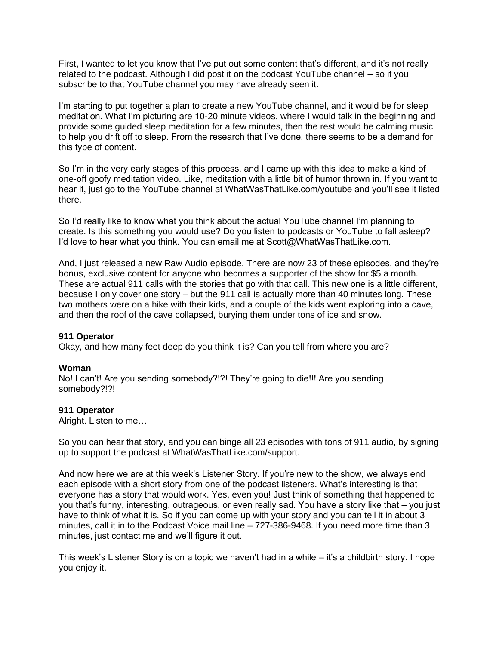First, I wanted to let you know that I've put out some content that's different, and it's not really related to the podcast. Although I did post it on the podcast YouTube channel – so if you subscribe to that YouTube channel you may have already seen it.

I'm starting to put together a plan to create a new YouTube channel, and it would be for sleep meditation. What I'm picturing are 10-20 minute videos, where I would talk in the beginning and provide some guided sleep meditation for a few minutes, then the rest would be calming music to help you drift off to sleep. From the research that I've done, there seems to be a demand for this type of content.

So I'm in the very early stages of this process, and I came up with this idea to make a kind of one-off goofy meditation video. Like, meditation with a little bit of humor thrown in. If you want to hear it, just go to the YouTube channel at WhatWasThatLike.com/youtube and you'll see it listed there.

So I'd really like to know what you think about the actual YouTube channel I'm planning to create. Is this something you would use? Do you listen to podcasts or YouTube to fall asleep? I'd love to hear what you think. You can email me at Scott@WhatWasThatLike.com.

And, I just released a new Raw Audio episode. There are now 23 of these episodes, and they're bonus, exclusive content for anyone who becomes a supporter of the show for \$5 a month. These are actual 911 calls with the stories that go with that call. This new one is a little different, because I only cover one story – but the 911 call is actually more than 40 minutes long. These two mothers were on a hike with their kids, and a couple of the kids went exploring into a cave, and then the roof of the cave collapsed, burying them under tons of ice and snow.

### **911 Operator**

Okay, and how many feet deep do you think it is? Can you tell from where you are?

### **Woman**

No! I can't! Are you sending somebody?!?! They're going to die!!! Are you sending somebody?!?!

### **911 Operator**

Alright. Listen to me…

So you can hear that story, and you can binge all 23 episodes with tons of 911 audio, by signing up to support the podcast at WhatWasThatLike.com/support.

And now here we are at this week's Listener Story. If you're new to the show, we always end each episode with a short story from one of the podcast listeners. What's interesting is that everyone has a story that would work. Yes, even you! Just think of something that happened to you that's funny, interesting, outrageous, or even really sad. You have a story like that – you just have to think of what it is. So if you can come up with your story and you can tell it in about 3 minutes, call it in to the Podcast Voice mail line – 727-386-9468. If you need more time than 3 minutes, just contact me and we'll figure it out.

This week's Listener Story is on a topic we haven't had in a while – it's a childbirth story. I hope you enjoy it.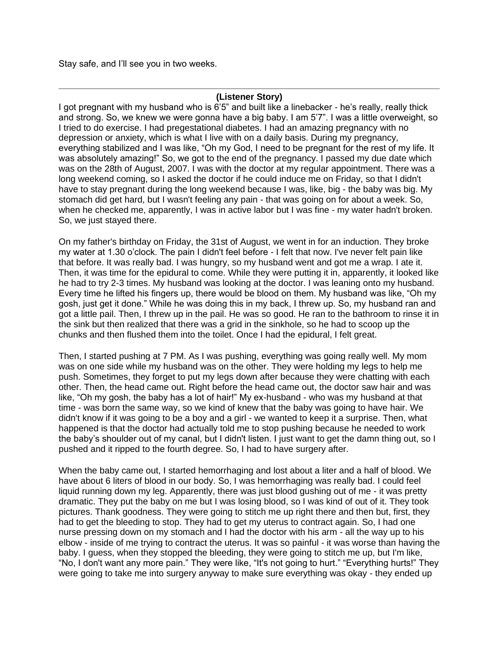Stay safe, and I'll see you in two weeks.

### **(Listener Story)**

I got pregnant with my husband who is 6'5" and built like a linebacker - he's really, really thick and strong. So, we knew we were gonna have a big baby. I am 5'7". I was a little overweight, so I tried to do exercise. I had pregestational diabetes. I had an amazing pregnancy with no depression or anxiety, which is what I live with on a daily basis. During my pregnancy, everything stabilized and I was like, "Oh my God, I need to be pregnant for the rest of my life. It was absolutely amazing!" So, we got to the end of the pregnancy. I passed my due date which was on the 28th of August, 2007. I was with the doctor at my regular appointment. There was a long weekend coming, so I asked the doctor if he could induce me on Friday, so that I didn't have to stay pregnant during the long weekend because I was, like, big - the baby was big. My stomach did get hard, but I wasn't feeling any pain - that was going on for about a week. So, when he checked me, apparently, I was in active labor but I was fine - my water hadn't broken. So, we just stayed there.

On my father's birthday on Friday, the 31st of August, we went in for an induction. They broke my water at 1.30 o'clock. The pain I didn't feel before - I felt that now. I've never felt pain like that before. It was really bad. I was hungry, so my husband went and got me a wrap. I ate it. Then, it was time for the epidural to come. While they were putting it in, apparently, it looked like he had to try 2-3 times. My husband was looking at the doctor. I was leaning onto my husband. Every time he lifted his fingers up, there would be blood on them. My husband was like, "Oh my gosh, just get it done." While he was doing this in my back, I threw up. So, my husband ran and got a little pail. Then, I threw up in the pail. He was so good. He ran to the bathroom to rinse it in the sink but then realized that there was a grid in the sinkhole, so he had to scoop up the chunks and then flushed them into the toilet. Once I had the epidural, I felt great.

Then, I started pushing at 7 PM. As I was pushing, everything was going really well. My mom was on one side while my husband was on the other. They were holding my legs to help me push. Sometimes, they forget to put my legs down after because they were chatting with each other. Then, the head came out. Right before the head came out, the doctor saw hair and was like, "Oh my gosh, the baby has a lot of hair!" My ex-husband - who was my husband at that time - was born the same way, so we kind of knew that the baby was going to have hair. We didn't know if it was going to be a boy and a girl - we wanted to keep it a surprise. Then, what happened is that the doctor had actually told me to stop pushing because he needed to work the baby's shoulder out of my canal, but I didn't listen. I just want to get the damn thing out, so I pushed and it ripped to the fourth degree. So, I had to have surgery after.

When the baby came out, I started hemorrhaging and lost about a liter and a half of blood. We have about 6 liters of blood in our body. So, I was hemorrhaging was really bad. I could feel liquid running down my leg. Apparently, there was just blood gushing out of me - it was pretty dramatic. They put the baby on me but I was losing blood, so I was kind of out of it. They took pictures. Thank goodness. They were going to stitch me up right there and then but, first, they had to get the bleeding to stop. They had to get my uterus to contract again. So, I had one nurse pressing down on my stomach and I had the doctor with his arm - all the way up to his elbow - inside of me trying to contract the uterus. It was so painful - it was worse than having the baby. I guess, when they stopped the bleeding, they were going to stitch me up, but I'm like, "No, I don't want any more pain." They were like, "It's not going to hurt." "Everything hurts!" They were going to take me into surgery anyway to make sure everything was okay - they ended up